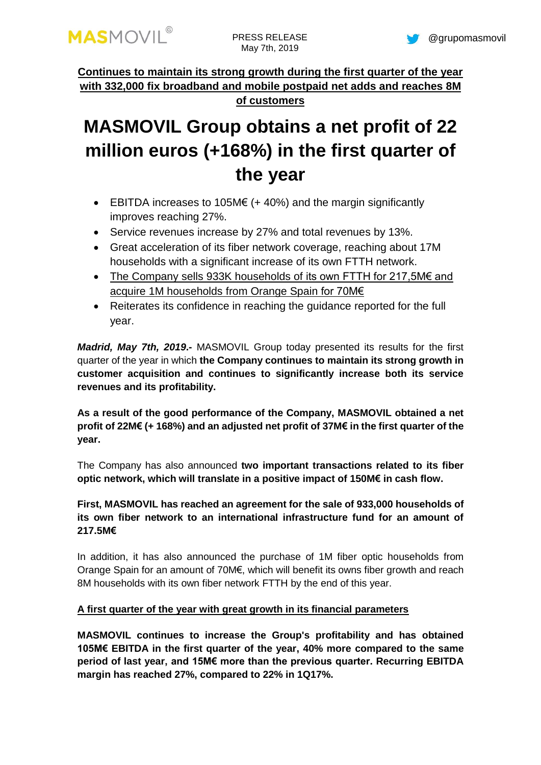**Continues to maintain its strong growth during the first quarter of the year with 332,000 fix broadband and mobile postpaid net adds and reaches 8M of customers**

# **MASMOVIL Group obtains a net profit of 22 million euros (+168%) in the first quarter of the year**

- EBITDA increases to 105M $\epsilon$  (+ 40%) and the margin significantly improves reaching 27%.
- Service revenues increase by 27% and total revenues by 13%.
- Great acceleration of its fiber network coverage, reaching about 17M households with a significant increase of its own FTTH network.
- The Company sells 933K households of its own FTTH for 217,5M€ and acquire 1M households from Orange Spain for 70M€
- Reiterates its confidence in reaching the guidance reported for the full year.

*Madrid, May 7th, 2019***.-** MASMOVIL Group today presented its results for the first quarter of the year in which **the Company continues to maintain its strong growth in customer acquisition and continues to significantly increase both its service revenues and its profitability.**

**As a result of the good performance of the Company, MASMOVIL obtained a net profit of 22M€ (+ 168%) and an adjusted net profit of 37M€ in the first quarter of the year.**

The Company has also announced **two important transactions related to its fiber optic network, which will translate in a positive impact of 150M€ in cash flow.** 

**First, MASMOVIL has reached an agreement for the sale of 933,000 households of its own fiber network to an international infrastructure fund for an amount of 217.5M€**

In addition, it has also announced the purchase of 1M fiber optic households from Orange Spain for an amount of 70M€, which will benefit its owns fiber growth and reach 8M households with its own fiber network FTTH by the end of this year.

# **A first quarter of the year with great growth in its financial parameters**

**MASMOVIL continues to increase the Group's profitability and has obtained 105M€ EBITDA in the first quarter of the year, 40% more compared to the same period of last year, and 15M€ more than the previous quarter. Recurring EBITDA margin has reached 27%, compared to 22% in 1Q17%.**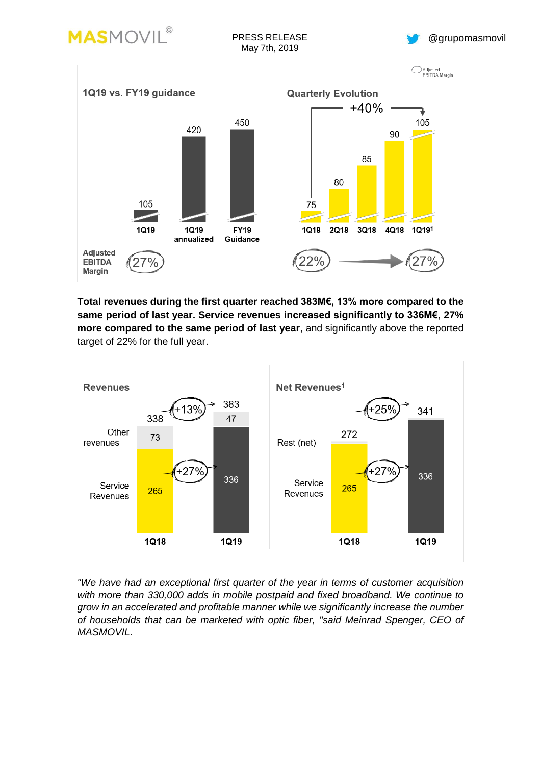

PRESS RELEASE May 7th, 2019





**Total revenues during the first quarter reached 383M€, 13% more compared to the same period of last year. Service revenues increased significantly to 336M€, 27% more compared to the same period of last year**, and significantly above the reported target of 22% for the full year.



*"We have had an exceptional first quarter of the year in terms of customer acquisition with more than 330,000 adds in mobile postpaid and fixed broadband. We continue to grow in an accelerated and profitable manner while we significantly increase the number of households that can be marketed with optic fiber, "said Meinrad Spenger, CEO of MASMOVIL.*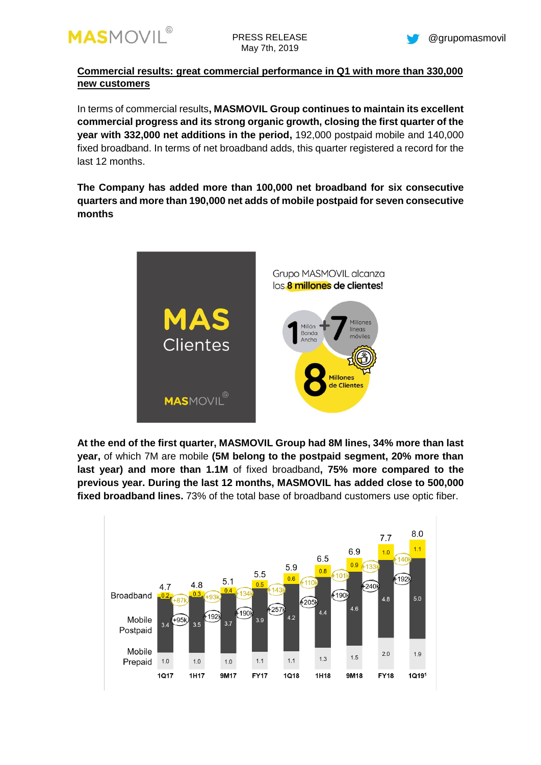

**Commercial results: great commercial performance in Q1 with more than 330,000 new customers**

In terms of commercial results**, MASMOVIL Group continues to maintain its excellent commercial progress and its strong organic growth, closing the first quarter of the year with 332,000 net additions in the period,** 192,000 postpaid mobile and 140,000 fixed broadband. In terms of net broadband adds, this quarter registered a record for the last 12 months.

**The Company has added more than 100,000 net broadband for six consecutive quarters and more than 190,000 net adds of mobile postpaid for seven consecutive months** 



**At the end of the first quarter, MASMOVIL Group had 8M lines, 34% more than last year,** of which 7M are mobile **(5M belong to the postpaid segment, 20% more than last year) and more than 1.1M** of fixed broadband**, 75% more compared to the previous year. During the last 12 months, MASMOVIL has added close to 500,000 fixed broadband lines.** 73% of the total base of broadband customers use optic fiber.

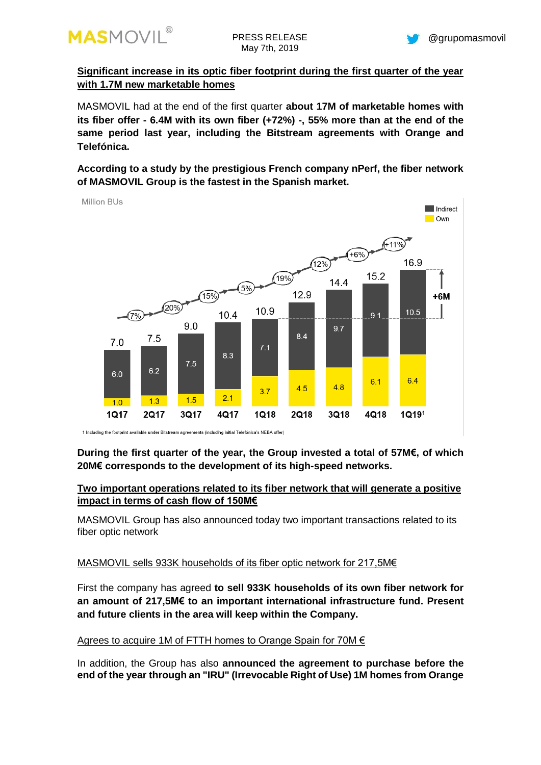

**Significant increase in its optic fiber footprint during the first quarter of the year with 1.7M new marketable homes**

MASMOVIL had at the end of the first quarter **about 17M of marketable homes with its fiber offer - 6.4M with its own fiber (+72%) -, 55% more than at the end of the same period last year, including the Bitstream agreements with Orange and Telefónica.**

**According to a study by the prestigious French company nPerf, the fiber network of MASMOVIL Group is the fastest in the Spanish market.**

**Million BUs** 



# **During the first quarter of the year, the Group invested a total of 57M€, of which 20M€ corresponds to the development of its high-speed networks.**

## **Two important operations related to its fiber network that will generate a positive impact in terms of cash flow of 150M€**

MASMOVIL Group has also announced today two important transactions related to its fiber optic network

## MASMOVIL sells 933K households of its fiber optic network for 217,5M€

First the company has agreed **to sell 933K households of its own fiber network for an amount of 217,5M€ to an important international infrastructure fund. Present and future clients in the area will keep within the Company.**

### Agrees to acquire 1M of FTTH homes to Orange Spain for 70M €

In addition, the Group has also **announced the agreement to purchase before the end of the year through an "IRU" (Irrevocable Right of Use) 1M homes from Orange**